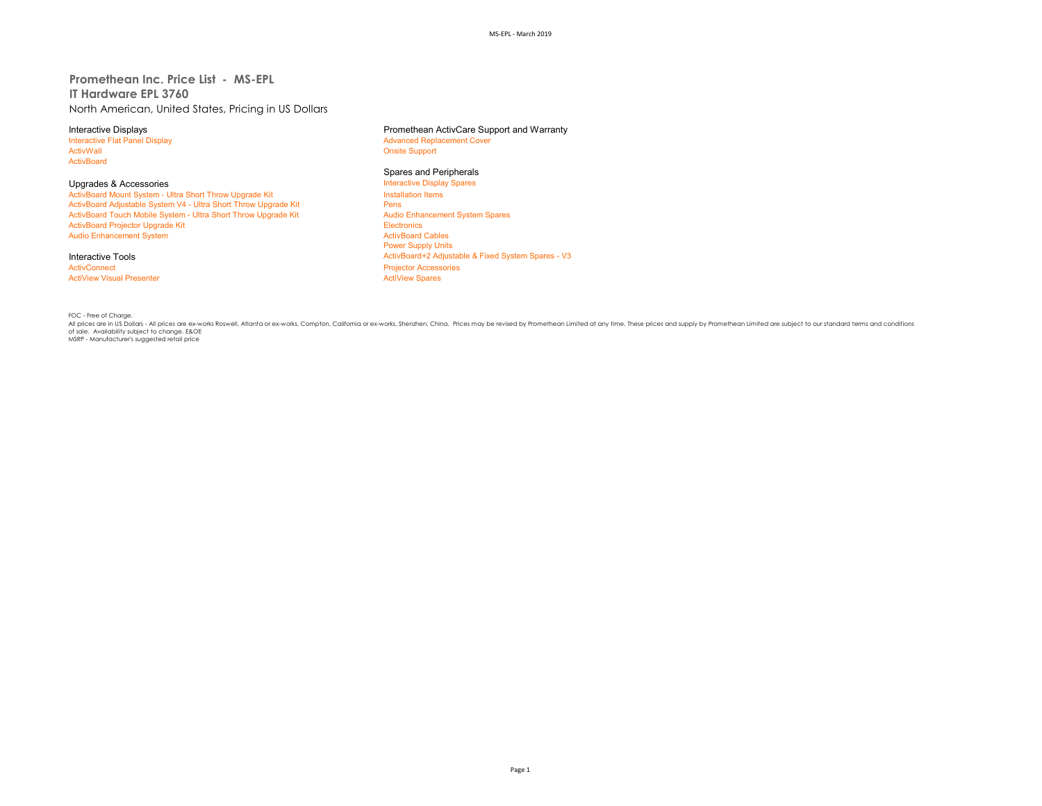# **Promethean Inc. Price List - MS-EPL IT Hardware EPL 3760** North American, United States, Pricing in US Dollars

Interactive Flat Panel Display and the Supervisor of Advanced Replacement Cover<br>
Advanced Replacement Cover<br>
Advanced Replacement Cover ActivBoard

Upgrades & Accessories<br>
ActivBoard Mount System - Ultra Short Throw Upgrade Kit **Interactive Display Spares ActivBoard Mount System - Ultra Short Throw Upgrade Kit** - ActivBoard Mount System - Ultra Short Throw Upgrade Kit Install<br>ActivBoard Adiustable System V4 - Ultra Short Throw Upgrade Kit Install ActivBoard Adjustable System V4 - Ultra Short Throw Upgrade Kit **Pens**<br>ActivBoard Touch Mobile System - Ultra Short Throw Upgrade Kit Pensill Pensill Audio Enhancement System Spares ActivBoard Touch Mobile System - Ultra Short Throw Upgrade Kit Audio Enhancement System Spares Audio Enhancement System Spares Audio Enhancement System Spares Audio Enhancement System Spares Audio Enhancement System Spares ActivBoard Projector Upgrade Kit **Electronics**<br>
ActivBoard Projector Upgrade Kit Electronics<br>
ActivBoard Cables Audio Enhancement System

**ActiView Visual Presenter** 

# Interactive Displays **Interactive Displays** Promethean ActivCare Support and Warranty<br>
Interactive Flat Panel Display **Promethean ActivCare Support and Warranty**

**Onsite Support** 

# **Spares and Peripherals<br>Interactive Display Spares**

Power Supply Units Interactive Tools<br> **Interactive Tools**<br> **ActivBoard+2 Adjustable & Fixed System Spares - V3**<br> **ActivBoard+2 Adjustable & Fixed System Spares - V3** Projector Accessories<br>ActiView Spares

FOC - Free of Charge.<br>All prices are in US Dollars - All prices are ex-works Roswell, Atlanta or ex-works, Compton, Califomia or ex-works, Shenzhen, China. Prices may be revised by Promethean Limited at any time. These pri of sale. Availability subject to change. E&OE<br>MSRP - Manufacturer's suggested retail price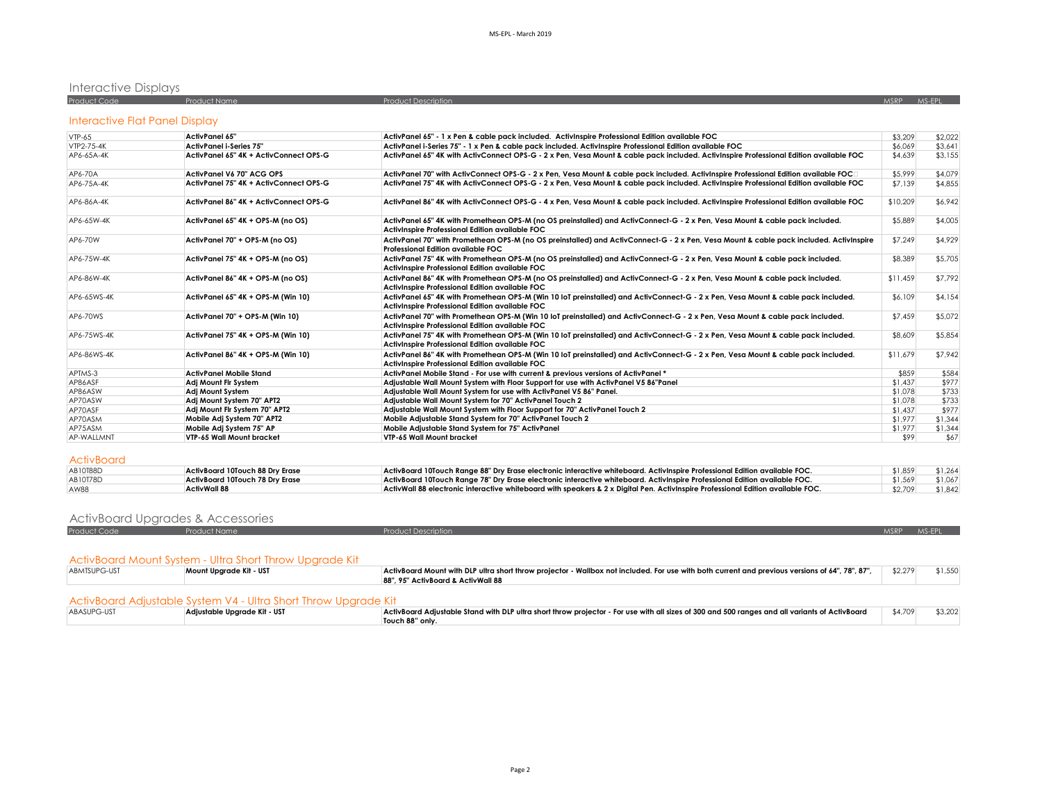# Interactive Displays

| <b>Product Code</b> | Product Name | <b>Product Description</b> | MSRP / | MS-FPI |  |  |
|---------------------|--------------|----------------------------|--------|--------|--|--|
|                     |              |                            |        |        |  |  |

# Interactive Flat Panel Display

| $VTP-65$    | <b>ActivPanel 65"</b>                  | ActivPanel 65" - 1 x Pen & cable pack included. ActivInspire Professional Edition available FOC                                                                                      | \$3,209  | \$2,022 |
|-------------|----------------------------------------|--------------------------------------------------------------------------------------------------------------------------------------------------------------------------------------|----------|---------|
| VTP2-75-4K  | <b>ActivPanel i-Series 75"</b>         | ActivPanel i-Series 75" - 1 x Pen & cable pack included. ActivInspire Professional Edition available FOC                                                                             | \$6.069  | \$3.641 |
| AP6-65A-4K  | ActivPanel 65" 4K + ActivConnect OPS-G | ActivPanel 65" 4K with ActivConnect OPS-G - 2 x Pen, Vesa Mount & cable pack included. ActivInspire Professional Edition available FOC                                               | \$4,639  | \$3,155 |
| AP6-70A     | ActivPanel V6 70" ACG OPS              | ActivPanel 70" with ActivConnect OPS-G - 2 x Pen, Vesa Mount & cable pack included. ActivInspire Professional Edition available FOCD                                                 | \$5,999  | \$4,079 |
| AP6-75A-4K  | ActivPanel 75" 4K + ActivConnect OPS-G | ActivPanel 75" 4K with ActivConnect OPS-G - 2 x Pen. Vesa Mount & cable pack included. ActivInspire Professional Edition available FOC                                               | \$7,139  | \$4,855 |
| AP6-86A-4K  | ActivPanel 86" 4K + ActivConnect OPS-G | ActivPanel 86" 4K with ActivConnect OPS-G - 4 x Pen, Vesa Mount & cable pack included. ActivInspire Professional Edition available FOC                                               | \$10,209 | \$6,942 |
| AP6-65W-4K  | ActivPanel 65" 4K + OPS-M (no OS)      | ActivPanel 65" 4K with Promethean OPS-M (no OS preinstalled) and ActivConnect-G - 2 x Pen, Vesa Mount & cable pack included.<br>Activinspire Professional Edition available FOC      | \$5,889  | \$4,005 |
| AP6-70W     | ActivPanel 70" + OPS-M (no OS)         | ActivPanel 70" with Promethean OPS-M (no OS preinstalled) and ActivConnect-G - 2 x Pen, Vesa Mount & cable pack included. ActivInspire<br>Professional Edition available FOC         | \$7,249  | \$4,929 |
| AP6-75W-4K  | ActivPanel 75" 4K + OPS-M (no OS)      | ActivPanel 75" 4K with Promethean OPS-M (no OS preinstalled) and ActivConnect-G - 2 x Pen, Vesa Mount & cable pack included.<br>ActivInspire Professional Edition available FOC      | \$8,389  | \$5,705 |
| AP6-86W-4K  | ActivPanel 86" 4K + OPS-M (no OS)      | ActivPanel 86" 4K with Promethean OPS-M (no OS preinstalled) and ActivConnect-G - 2 x Pen, Vesa Mount & cable pack included.<br>Activinspire Professional Edition available FOC      | \$11.459 | \$7,792 |
| AP6-65WS-4K | ActivPanel 65" 4K + OPS-M (Win 10)     | ActivPanel 65" 4K with Promethean OPS-M (Win 10 IoT preinstalled) and ActivConnect-G - 2 x Pen, Vesa Mount & cable pack included.<br>Activinspire Professional Edition available FOC | \$6,109  | \$4,154 |
| AP6-70WS    | ActivPanel 70" + OPS-M (Win 10)        | ActivPanel 70" with Promethean OPS-M (Win 10 loT preinstalled) and ActivConnect-G - 2 x Pen, Vesa Mount & cable pack included.<br>Activinspire Professional Edition available FOC    | \$7,459  | \$5,072 |
| AP6-75WS-4K | ActivPanel 75" 4K + OPS-M (Win 10)     | ActivPanel 75" 4K with Promethean OPS-M (Win 10 IoT preinstalled) and ActivConnect-G - 2 x Pen, Vesa Mount & cable pack included.<br>ActivInspire Professional Edition available FOC | \$8,609  | \$5,854 |
| AP6-86WS-4K | ActivPanel 86" 4K + OPS-M (Win 10)     | ActivPanel 86" 4K with Promethean OPS-M (Win 10 IoT preinstalled) and ActivConnect-G - 2 x Pen, Vesa Mount & cable pack included.<br>ActivInspire Professional Edition available FOC | \$11,679 | \$7,942 |
| APTMS-3     | <b>ActivPanel Mobile Stand</b>         | ActivPanel Mobile Stand - For use with current & previous versions of ActivPanel *                                                                                                   | \$859    | \$584   |
| AP86ASF     | Adi Mount Fir System                   | Adjustable Wall Mount System with Floor Support for use with ActivPanel V5 86"Panel                                                                                                  | \$1,437  | \$977   |
| AP86ASW     | Adj Mount System                       | Adjustable Wall Mount System for use with ActivPanel V5 86" Panel.                                                                                                                   | \$1,078  | \$733   |
| AP70ASW     | Adi Mount System 70" APT2              | Adiustable Wall Mount System for 70" ActivPanel Touch 2                                                                                                                              | \$1,078  | \$733   |
| AP70ASF     | Adi Mount Fir System 70" APT2          | Adjustable Wall Mount System with Floor Support for 70" ActivPanel Touch 2                                                                                                           | \$1,437  | \$977   |
| AP70ASM     | Mobile Adj System 70" APT2             | Mobile Adjustable Stand System for 70" ActivPanel Touch 2                                                                                                                            | \$1,977  | \$1,344 |
| AP75ASM     | Mobile Adj System 75" AP               | Mobile Adjustable Stand System for 75" ActivPanel                                                                                                                                    | \$1,977  | \$1,344 |
| AP-WALLMNT  | VTP-65 Wall Mount bracket              | VTP-65 Wall Mount bracket                                                                                                                                                            | \$99     | \$67    |

| <b>AB10T88D</b> | ActivBoard 10Touch 88 Dry Erase | ActivBoard 10Touch Range 88" Dry Erase electronic interactive whiteboard. ActivInspire Professional Edition available FOC.       | \$1,859 | \$1.264 |
|-----------------|---------------------------------|----------------------------------------------------------------------------------------------------------------------------------|---------|---------|
| AB10T78D        | ActivBoard 10Touch 78 Drv Erase | ActivBoard 10Touch Range 78" Dry Erase electronic interactive whiteboard. ActivInspire Professional Edition available FOC.       | \$1.569 | \$1,067 |
| AW88            | ActivWall 88                    | ActivWall 88 electronic interactive whiteboard with speakers & 2 x Diaital Pen. ActivInspire Professional Edition available FOC. | \$2,709 | \$1,842 |

# ActivBoard Upgrades & Accessories

| Product Code | Product Name | <b>Product Description</b> | MSRP MS-EP |  |
|--------------|--------------|----------------------------|------------|--|
|              |              |                            |            |  |

# ActivBoard Mount System - Ultra Short Throw Upgrade Kit

| ABMTSUPG-UST | .<br>Mount Uparade Kit - UST                                    | ActivBoard Mount with DLP ultra short throw projector - Wallbox not included. For use with both current and previous versions of 64", 78", 87",<br>88", 95" ActivBoard & ActivWall 88 | \$2.279 | \$1,550 |
|--------------|-----------------------------------------------------------------|---------------------------------------------------------------------------------------------------------------------------------------------------------------------------------------|---------|---------|
|              | ActivBoard Adjustable System V4 - Ultra Short Throw Upgrade Kit |                                                                                                                                                                                       |         |         |
| ABASUPG-UST  | Adiustable Uparade Kit - UST                                    | ActivBoard Adjustable Stand with DLP ultra short throw projector - For use with all sizes of 300 and 500 ranges and all variants of ActivBoard                                        | \$4,709 | \$3,202 |
|              |                                                                 | Touch 88" only.                                                                                                                                                                       |         |         |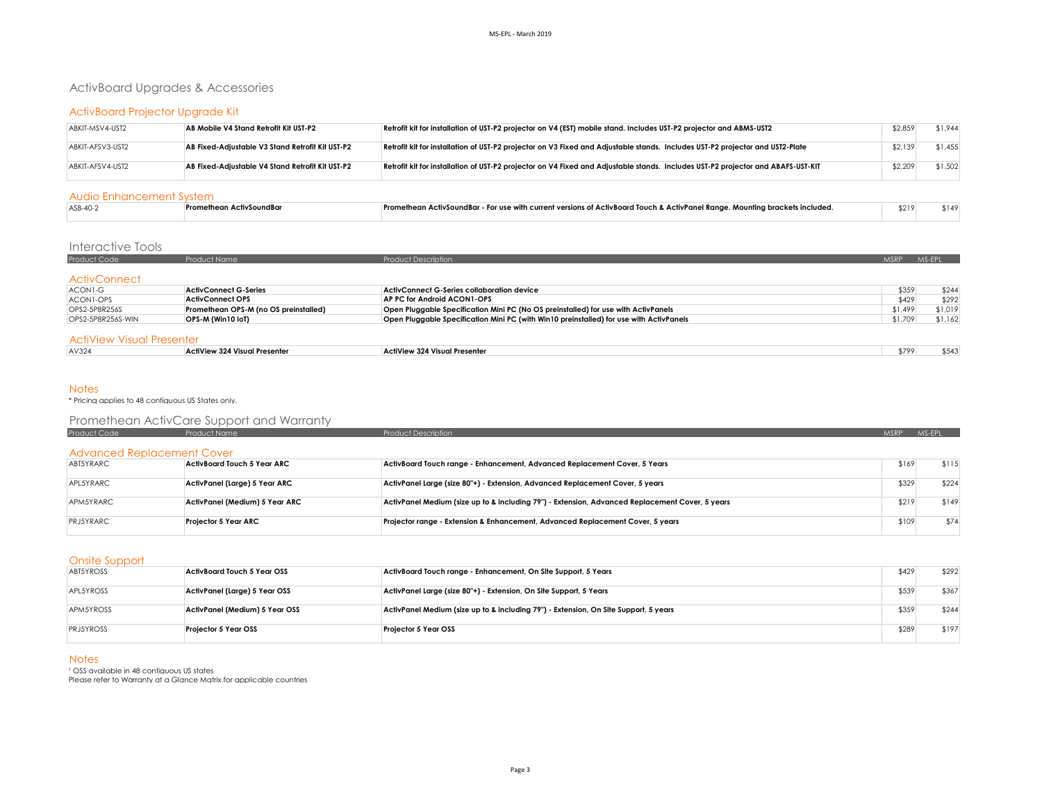# ActivBoard Upgrades & Accessories

# ActivBoard Projector Upgrade Kit

| ABKIT-MSV4-UST2  | AB Mobile V4 Stand Retrofit Kit UST-P2           | Retrofit kit for installation of UST-P2 projector on V4 (EST) mobile stand. Includes UST-P2 projector and ABMS-UST2              | \$2,859 | \$1.944 |
|------------------|--------------------------------------------------|----------------------------------------------------------------------------------------------------------------------------------|---------|---------|
| ABKIT-AFSV3-UST2 | AB Fixed-Adjustable V3 Stand Retrofit Kit UST-P2 | Retrofit kit for installation of UST-P2 projector on V3 Fixed and Adjustable stands. Includes UST-P2 projector and UST2-Plate    | \$2,139 | \$1.455 |
| ABKIT-AFSV4-UST2 | AB Fixed-Adjustable V4 Stand Retrofit Kit UST-P2 | Retrofit kit for installation of UST-P2 projector on V4 Fixed and Adjustable stands. Includes UST-P2 projector and ABAFS-UST-KIT | \$2,209 | \$1,502 |

#### Audio Enhancement System

| ASB-40-2 | Promethean ActivSoundBar | Promethean ActivSoundBar - For use with current versions of ActivBoard Touch & ActivPanel Range. Mounting brackets included. | \$219 |  |  |  |  |  |
|----------|--------------------------|------------------------------------------------------------------------------------------------------------------------------|-------|--|--|--|--|--|
|          |                          |                                                                                                                              |       |  |  |  |  |  |

## Interactive Tools

| <b>Product Code</b> | <b>Product Name</b> | Product Description | MSRP | MS-FPI |
|---------------------|---------------------|---------------------|------|--------|
|                     |                     |                     |      |        |
| <b>ActivConnect</b> |                     |                     |      |        |

| ACON1-G           | ActivConnect G-Series                 | ActivConnect G-Series collaboration device                                              | \$359   | \$244   |
|-------------------|---------------------------------------|-----------------------------------------------------------------------------------------|---------|---------|
| ACON1-OPS         | ActivConnect OPS                      | AP PC for Android ACON1-OPS                                                             | \$429   | \$292   |
| OPS2-5P8R256S     | Promethean OPS-M (no OS preinstalled) | Open Pluggable Specification Mini PC (No OS preinstalled) for use with ActivPanels      | \$1.499 | \$1.019 |
| OPS2-5P8R256S-WIN | OPS-M (Win10 IoT)                     | Open Pluggable Specification Mini PC (with Win10 preinstalled) for use with ActivPanels | \$1,709 | \$1,162 |
|                   |                                       |                                                                                         |         |         |

## ActiView Visual Presenter

| AV324 | ActiView 324 W<br><sup>1</sup> Presente.<br>. | ActiView 324 Visual Presenter<br>. | 1794 |  |
|-------|-----------------------------------------------|------------------------------------|------|--|
|       |                                               |                                    |      |  |

#### **Notes**

\* Pricing applies to 48 contiguous US States only.

|                                   | Promethean ActivCare Support and Warranty |                                                                                                 |             |        |
|-----------------------------------|-------------------------------------------|-------------------------------------------------------------------------------------------------|-------------|--------|
| Product Code                      | <b>Product Name</b>                       | <b>Product Description</b>                                                                      | <b>MSRP</b> | MS-EPL |
| <b>Advanced Replacement Cover</b> |                                           |                                                                                                 |             |        |
| ABT5YRARC                         | ActivBoard Touch 5 Year ARC               | ActivBoard Touch range - Enhancement, Advanced Replacement Cover, 5 Years                       | \$169       | \$115  |
| APL5YRARC                         | ActivPanel (Large) 5 Year ARC             | ActivPanel Large (size 80"+) - Extension, Advanced Replacement Cover, 5 years                   | \$329       | \$224  |
| APM5YRARC                         | ActivPanel (Medium) 5 Year ARC            | ActivPanel Medium (size up to & including 79") - Extension, Advanced Replacement Cover, 5 years | \$219       | \$149  |
| <b>PRJ5YRARC</b>                  | Projector 5 Year ARC                      | Projector range - Extension & Enhancement, Advanced Replacement Cover, 5 years                  | \$109       | \$74   |

#### Onsite Support

| ABT5YROSS        | <b>ActivBoard Touch 5 Year OSS</b> | ActivBoard Touch range - Enhancement, On Site Support, 5 Years                       | \$429 | \$292 |
|------------------|------------------------------------|--------------------------------------------------------------------------------------|-------|-------|
| APL5YROSS        | ActivPanel (Large) 5 Year OSS      | ActivPanel Large (size 80"+) - Extension, On Site Support, 5 Years                   | \$539 | \$367 |
| APM5YROSS        | ActivPanel (Medium) 5 Year OSS     | ActivPanel Medium (size up to & including 79") - Extension, On Site Support, 5 years | \$359 | \$244 |
| <b>PRJ5YROSS</b> | <b>Projector 5 Year OSS</b>        | <b>Projector 5 Year OSS</b>                                                          | \$289 | \$197 |

### **Notes**

' OSS available in 48 contiguous US states<br>Please refer to Warranty at a Glance Matrix for applicable countries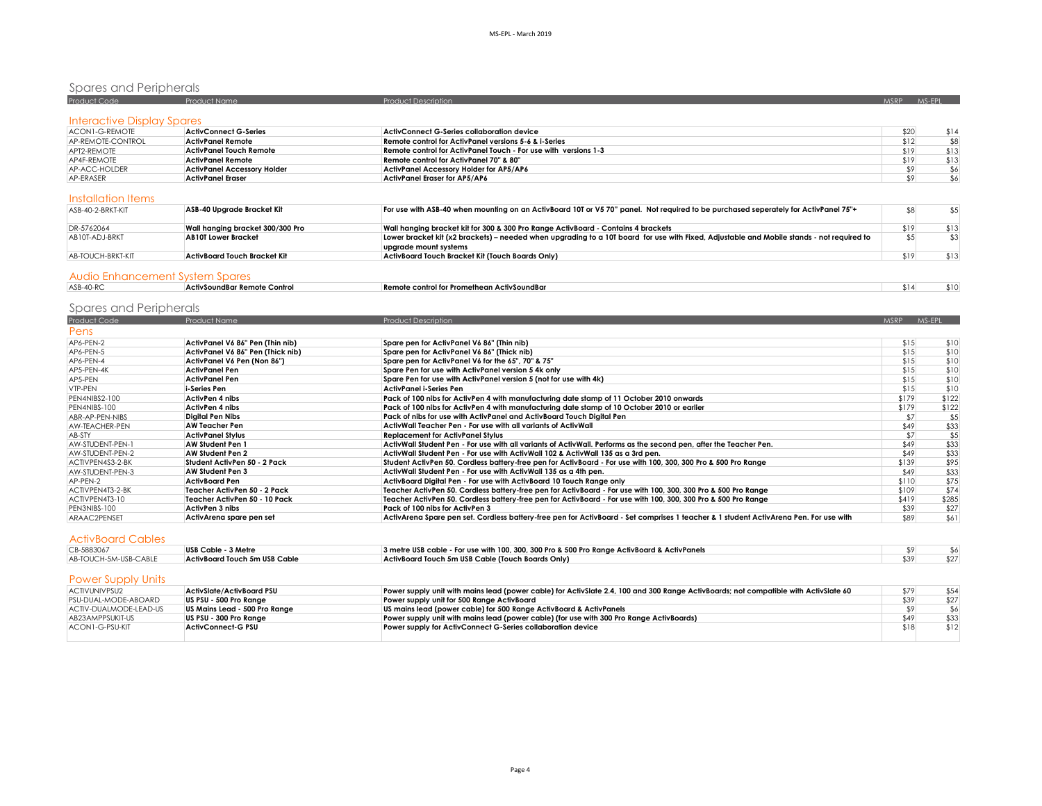# Spares and Peripherals

| Product Code               | Product Name                       | Product Description                                              | <b>MSRP</b> | MS-FPI |
|----------------------------|------------------------------------|------------------------------------------------------------------|-------------|--------|
| Interactive Display Spares |                                    |                                                                  |             |        |
|                            |                                    |                                                                  |             |        |
| ACON1-G-REMOTE             | <b>ActivConnect G-Series</b>       | ActivConnect G-Series collaboration device                       | \$20        | \$14   |
| AP-REMOTE-CONTROL          | <b>ActivPanel Remote</b>           | <b>Remote control for ActivPanel versions 5-6 &amp; i-Series</b> | \$12        | \$8    |
| APT2-REMOTE                | ActivPanel Touch Remote            | Remote control for ActivPanel Touch - For use with versions 1-3  | \$19        | \$13   |
| AP4F-REMOTE                | ActivPanel Remote                  | Remote control for ActivPanel 70" & 80"                          | \$19        | \$13   |
| AP-ACC-HOLDER              | <b>ActivPanel Accessory Holder</b> | ActivPanel Accessory Holder for AP5/AP6                          |             | \$6    |
| AP-ERASER                  | <b>ActivPanel Eraser</b>           | ActivPanel Eraser for AP5/AP6                                    |             | \$6    |

#### Installation Items

| ASB-40-2-BRKT-KIT | ASB-40 Upgrade Bracket Kit       | For use with ASB-40 when mounting on an ActivBoard 10T or V5 70" panel. Not required to be purchased seperately for ActivPanel 75"+                                |      |      |
|-------------------|----------------------------------|--------------------------------------------------------------------------------------------------------------------------------------------------------------------|------|------|
| DR-5762064        | Wall hanaina bracket 300/300 Pro | Wall hanging bracket kit for 300 & 300 Pro Range ActivBoard - Contains 4 brackets                                                                                  | \$19 | \$13 |
| AB10T-ADJ-BRKT    | <b>AB10T Lower Bracket</b>       | Lower bracket kit (x2 brackets) – needed when upgrading to a 10T board for use with Fixed, Adjustable and Mobile stands - not required to<br>upgrade mount systems |      |      |
| AB-TOUCH-BRKT-KIT | ActivBoard Touch Bracket Kit     | ActivBoard Touch Bracket Kit (Touch Boards Only)                                                                                                                   | \$19 | \$13 |
|                   |                                  |                                                                                                                                                                    |      |      |

#### Audio Enhancement System Spares

| ASB-40-RC | ActivSoundBar Remote Control | <b>Remote control for Promethean ActivSoundBar</b> | $\sim$ $\sim$ |  |
|-----------|------------------------------|----------------------------------------------------|---------------|--|
|           |                              |                                                    |               |  |

# Spares and Peripherals

| Product Code     | Product Name                      | <b>Product Description</b>                                                                                                            | <b>MSRP</b> | MS-EPL |
|------------------|-----------------------------------|---------------------------------------------------------------------------------------------------------------------------------------|-------------|--------|
| Pens             |                                   |                                                                                                                                       |             |        |
| AP6-PEN-2        | ActivPanel V6 86" Pen (Thin nib)  | Spare pen for ActivPanel V6 86" (Thin nib)                                                                                            | \$15        | \$10   |
| AP6-PEN-5        | ActivPanel V6 86" Pen (Thick nib) | Spare pen for ActivPanel V6 86" (Thick nib)                                                                                           | \$15        | \$10   |
| AP6-PEN-4        | ActivPanel V6 Pen (Non 86")       | Spare pen for ActivPanel V6 for the 65", 70" & 75"                                                                                    | \$15        | \$10   |
| AP5-PEN-4K       | ActivPanel Pen                    | Spare Pen for use with ActivPanel version 5 4k only                                                                                   | \$15        | \$10   |
| AP5-PEN          | <b>ActivPanel Pen</b>             | Spare Pen for use with ActivPanel version 5 (not for use with 4k)                                                                     | \$15        | \$10   |
| VTP-PEN          | i-Series Pen                      | ActivPanel i-Series Pen                                                                                                               | \$15        | \$10   |
| PEN4NIBS2-100    | ActivPen 4 nibs                   | Pack of 100 nibs for ActivPen 4 with manufacturing date stamp of 11 October 2010 onwards                                              | \$179       | \$122  |
| PEN4NIBS-100     | ActivPen 4 nibs                   | Pack of 100 nibs for ActivPen 4 with manufacturing date stamp of 10 October 2010 or earlier                                           | \$179       | \$122  |
| ABR-AP-PEN-NIBS  | <b>Diaital Pen Nibs</b>           | Pack of nibs for use with ActivPanel and ActivBoard Touch Diaital Pen                                                                 | \$7         | \$5    |
| AW-TEACHER-PEN   | AW Teacher Pen                    | ActivWall Teacher Pen - For use with all variants of ActivWall                                                                        | \$49        | \$33   |
| AB-STY           | <b>ActivPanel Stylus</b>          | <b>Replacement for ActivPanel Stylus</b>                                                                                              | \$7         | \$5    |
| AW-STUDENT-PEN-1 | <b>AW Student Pen 1</b>           | ActivWall Student Pen - For use with all variants of ActivWall. Performs as the second pen, after the Teacher Pen.                    | \$49        | \$33   |
| AW-STUDENT-PEN-2 | <b>AW Student Pen 2</b>           | ActivWall Student Pen - For use with ActivWall 102 & ActivWall 135 as a 3rd pen.                                                      | \$49        | \$33   |
| ACTIVPEN4S3-2-BK | Student ActivPen 50 - 2 Pack      | Student ActivPen 50. Cordless battery-free pen for ActivBoard - For use with 100, 300, 300 Pro & 500 Pro Range                        | \$139       | \$95   |
| AW-STUDENT-PEN-3 | AW Student Pen 3                  | ActivWall Student Pen - For use with ActivWall 135 as a 4th pen.                                                                      | \$49        | \$33   |
| AP-PEN-2         | <b>ActivBoard Pen</b>             | ActivBoard Digital Pen - For use with ActivBoard 10 Touch Range only                                                                  | \$110       | \$75   |
| ACTIVPEN4T3-2-BK | Teacher ActivPen 50 - 2 Pack      | Teacher ActivPen 50. Cordless battery-free pen for ActivBoard - For use with 100, 300, 300 Pro & 500 Pro Range                        | \$109       | \$74   |
| ACTIVPEN4T3-10   | Teacher ActivPen 50 - 10 Pack     | Teacher ActivPen 50. Cordless battery-free pen for ActivBoard - For use with 100, 300, 300 Pro & 500 Pro Range                        | \$419       | \$285  |
| PEN3NIBS-100     | ActivPen 3 nibs                   | Pack of 100 nibs for ActivPen 3                                                                                                       | \$39        | \$27   |
| ARAAC2PENSET     | ActivArena spare pen set          | ActivArena Spare pen set. Cordless battery-free pen for ActivBoard - Set comprises 1 teacher & 1 student ActivArena Pen. For use with | \$89        | \$61   |

# ActivBoard Cables

| CB-5883067            | USB Cable - 3 Metre           | 3 metre USB cable - For use with 100, 300, 300 Pro & 500 Pro Range ActivBoard & ActivPanels |  |
|-----------------------|-------------------------------|---------------------------------------------------------------------------------------------|--|
| AB-TOUCH-5M-USB-CABLE | ActivBoard Touch 5m USB Cable | ActivBoard Touch 5m USB Cable (Touch Boards Only)                                           |  |

#### Power Supply Units

| ACTIVUNIVPSU2          | ActivSlate/ActivBoard PSU     | Power supply unit with mains lead (power cable) for ActivSlate 2.4, 100 and 300 Range ActivBoards; not compatible with ActivSlate 60 | \$79 | \$54 |
|------------------------|-------------------------------|--------------------------------------------------------------------------------------------------------------------------------------|------|------|
| PSU-DUAL-MODE-ABOARD   | US PSU - 500 Pro Ranae        | Power supply unit for 500 Range ActivBoard                                                                                           | \$39 | \$27 |
| ACTIV-DUALMODE-LEAD-US | US Mains Lead - 500 Pro Ranae | US mains lead (power cable) for 500 Range ActivBoard & ActivPanels                                                                   |      |      |
| AB23AMPPSUKIT-US       | US PSU - 300 Pro Range        | Power supply unit with mains lead (power cable) (for use with 300 Pro Range ActivBoards)                                             | \$49 | \$33 |
| ACON1-G-PSU-KIT        | <b>ActivConnect-G PSU</b>     | Power supply for ActivConnect G-Series collaboration device                                                                          | \$18 | \$12 |
|                        |                               |                                                                                                                                      |      |      |